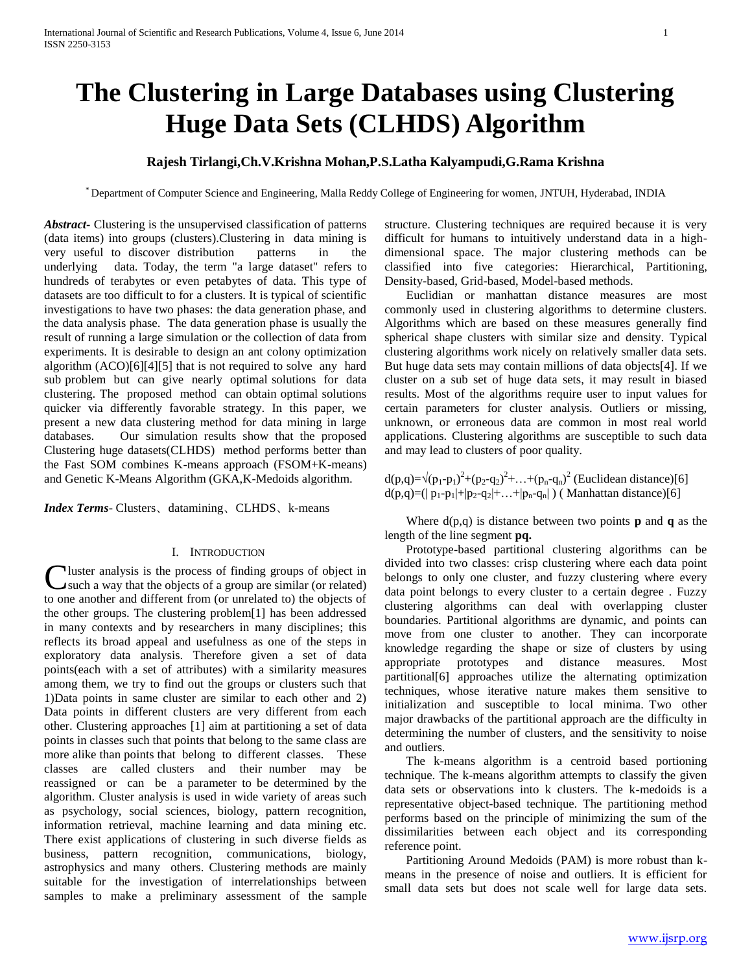# **The Clustering in Large Databases using Clustering Huge Data Sets (CLHDS) Algorithm**

# **Rajesh Tirlangi,Ch.V.Krishna Mohan,P.S.Latha Kalyampudi,G.Rama Krishna**

\* Department of Computer Science and Engineering, Malla Reddy College of Engineering for women, JNTUH, Hyderabad, INDIA

*Abstract***-** Clustering is the unsupervised classification of patterns (data items) into groups (clusters).Clustering in data mining is very useful to discover distribution patterns in the underlying data. Today, the term "a large dataset" refers to hundreds of terabytes or even petabytes of data. This type of datasets are too difficult to for a clusters. It is typical of scientific investigations to have two phases: the data generation phase, and the data analysis phase. The data generation phase is usually the result of running a large simulation or the collection of data from experiments. It is desirable to design an ant colony optimization algorithm (ACO)[6][4][5] that is not required to solve any hard sub problem but can give nearly optimal solutions for data clustering. The proposed method can obtain optimal solutions quicker via differently favorable strategy. In this paper, we present a new data clustering method for data mining in large databases. Our simulation results show that the proposed Clustering huge datasets(CLHDS) method performs better than the Fast SOM combines K-means approach (FSOM+K-means) and Genetic K-Means Algorithm (GKA,K-Medoids algorithm.

*Index Terms*- Clusters、datamining、CLHDS、k-means

# I. INTRODUCTION

I luster analysis is the process of finding groups of object in Cluster analysis is the process of finding groups of object in such a way that the objects of a group are similar (or related) to one another and different from (or unrelated to) the objects of the other groups. The clustering problem[1] has been addressed in many contexts and by researchers in many disciplines; this reflects its broad appeal and usefulness as one of the steps in exploratory data analysis. Therefore given a set of data points(each with a set of attributes) with a similarity measures among them, we try to find out the groups or clusters such that 1)Data points in same cluster are similar to each other and 2) Data points in different clusters are very different from each other. Clustering approaches [1] aim at partitioning a set of data points in classes such that points that belong to the same class are more alike than points that belong to different classes. These classes are called clusters and their number may be reassigned or can be a parameter to be determined by the algorithm. Cluster analysis is used in wide variety of areas such as psychology, social sciences, biology, pattern recognition, information retrieval, machine learning and data mining etc. There exist applications of clustering in such diverse fields as business, pattern recognition, communications, biology, astrophysics and many others. Clustering methods are mainly suitable for the investigation of interrelationships between samples to make a preliminary assessment of the sample structure. Clustering techniques are required because it is very difficult for humans to intuitively understand data in a highdimensional space. The major clustering methods can be classified into five categories: Hierarchical, Partitioning, Density-based, Grid-based, Model-based methods.

 Euclidian or manhattan distance measures are most commonly used in clustering algorithms to determine clusters. Algorithms which are based on these measures generally find spherical shape clusters with similar size and density. Typical clustering algorithms work nicely on relatively smaller data sets. But huge data sets may contain millions of data objects[4]. If we cluster on a sub set of huge data sets, it may result in biased results. Most of the algorithms require user to input values for certain parameters for cluster analysis. Outliers or missing, unknown, or erroneous data are common in most real world applications. Clustering algorithms are susceptible to such data and may lead to clusters of poor quality.

 $d(p,q)=\sqrt{(p_1-p_1)^2+(p_2-q_2)^2+...+(p_n-q_n)^2}$  (Euclidean distance)[6]  $d(p,q)=(|p_1-p_1|+|p_2-q_2|+...+|p_n-q_n|)$  (Manhattan distance)[6]

Where  $d(p,q)$  is distance between two points **p** and **q** as the length of the line segment **pq.**

 Prototype-based partitional clustering algorithms can be divided into two classes: crisp clustering where each data point belongs to only one cluster, and fuzzy clustering where every data point belongs to every cluster to a certain degree . Fuzzy clustering algorithms can deal with overlapping cluster boundaries. Partitional algorithms are dynamic, and points can move from one cluster to another. They can incorporate knowledge regarding the shape or size of clusters by using appropriate prototypes and distance measures. Most partitional[6] approaches utilize the alternating optimization techniques, whose iterative nature makes them sensitive to initialization and susceptible to local minima. Two other major drawbacks of the partitional approach are the difficulty in determining the number of clusters, and the sensitivity to noise and outliers.

 The k-means algorithm is a centroid based portioning technique. The k-means algorithm attempts to classify the given data sets or observations into k clusters. The k-medoids is a representative object-based technique. The partitioning method performs based on the principle of minimizing the sum of the dissimilarities between each object and its corresponding reference point.

 Partitioning Around Medoids (PAM) is more robust than kmeans in the presence of noise and outliers. It is efficient for small data sets but does not scale well for large data sets.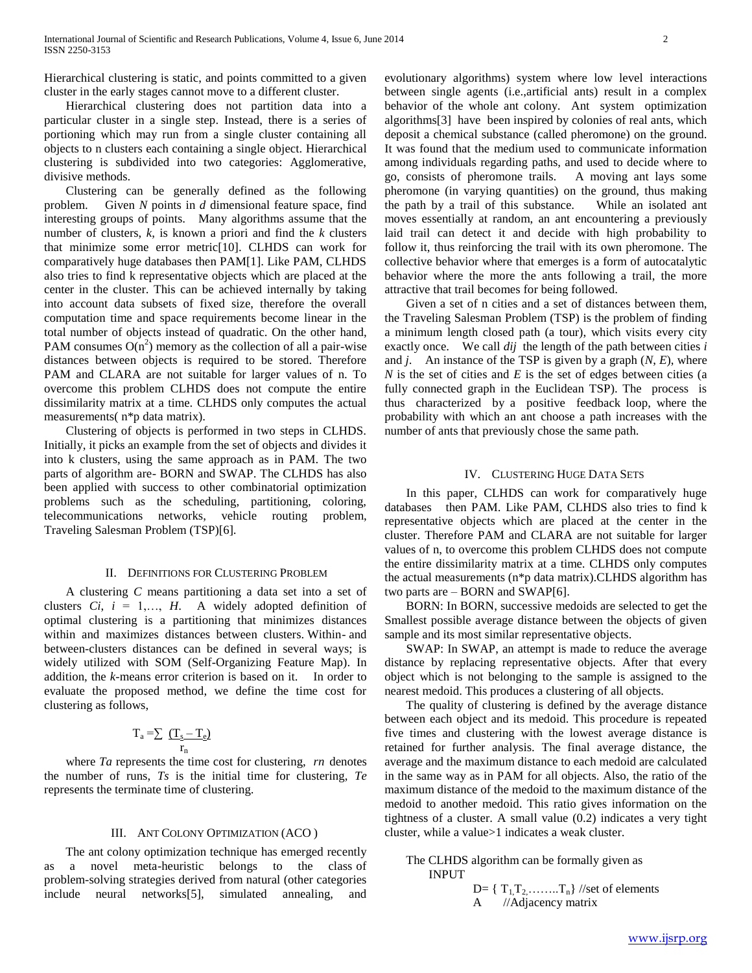Hierarchical clustering is static, and points committed to a given cluster in the early stages cannot move to a different cluster.

 Hierarchical clustering does not partition data into a particular cluster in a single step. Instead, there is a series of portioning which may run from a single cluster containing all objects to n clusters each containing a single object. Hierarchical clustering is subdivided into two categories: Agglomerative, divisive methods.

 Clustering can be generally defined as the following problem. Given *N* points in *d* dimensional feature space, find interesting groups of points. Many algorithms assume that the number of clusters, *k*, is known a priori and find the *k* clusters that minimize some error metric[10]. CLHDS can work for comparatively huge databases then PAM[1]. Like PAM, CLHDS also tries to find k representative objects which are placed at the center in the cluster. This can be achieved internally by taking into account data subsets of fixed size, therefore the overall computation time and space requirements become linear in the total number of objects instead of quadratic. On the other hand, PAM consumes  $O(n^2)$  memory as the collection of all a pair-wise distances between objects is required to be stored. Therefore PAM and CLARA are not suitable for larger values of n. To overcome this problem CLHDS does not compute the entire dissimilarity matrix at a time. CLHDS only computes the actual measurements( n\*p data matrix).

 Clustering of objects is performed in two steps in CLHDS. Initially, it picks an example from the set of objects and divides it into k clusters, using the same approach as in PAM. The two parts of algorithm are- BORN and SWAP. The CLHDS has also been applied with success to other combinatorial optimization problems such as the scheduling, partitioning, coloring, telecommunications networks, vehicle routing problem, Traveling Salesman Problem (TSP)[6].

### II. DEFINITIONS FOR CLUSTERING PROBLEM

 A clustering *C* means partitioning a data set into a set of clusters  $Ci$ ,  $i = 1,..., H$ . A widely adopted definition of optimal clustering is a partitioning that minimizes distances within and maximizes distances between clusters. Within- and between-clusters distances can be defined in several ways; is widely utilized with SOM (Self-Organizing Feature Map). In addition, the *k*-means error criterion is based on it. In order to evaluate the proposed method, we define the time cost for clustering as follows,

$$
T_a = \sum \frac{(T_s - T_e)}{r_n}
$$

 where *Ta* represents the time cost for clustering, *rn* denotes the number of runs, *Ts* is the initial time for clustering, *Te*  represents the terminate time of clustering.

### III. ANT COLONY OPTIMIZATION (ACO )

 The ant colony optimization technique has emerged recently a novel meta-heuristic belongs to the class of problem-solving strategies derived from natural (other categories include neural networks[5], simulated annealing, and

evolutionary algorithms) system where low level interactions between single agents (i.e.,artificial ants) result in a complex behavior of the whole ant colony. Ant system optimization algorithms[3] have been inspired by colonies of real ants, which deposit a chemical substance (called pheromone) on the ground. It was found that the medium used to communicate information among individuals regarding paths, and used to decide where to go, consists of pheromone trails. A moving ant lays some pheromone (in varying quantities) on the ground, thus making the path by a trail of this substance. While an isolated ant moves essentially at random, an ant encountering a previously laid trail can detect it and decide with high probability to follow it, thus reinforcing the trail with its own pheromone. The collective behavior where that emerges is a form of autocatalytic behavior where the more the ants following a trail, the more attractive that trail becomes for being followed.

 Given a set of n cities and a set of distances between them, the Traveling Salesman Problem (TSP) is the problem of finding a minimum length closed path (a tour), which visits every city exactly once. We call *dij* the length of the path between cities *i*  and *j*. An instance of the TSP is given by a graph (*N*, *E*), where *N* is the set of cities and *E* is the set of edges between cities (a fully connected graph in the Euclidean TSP). The process is thus characterized by a positive feedback loop, where the probability with which an ant choose a path increases with the number of ants that previously chose the same path.

## IV. CLUSTERING HUGE DATA SETS

 In this paper, CLHDS can work for comparatively huge databases then PAM. Like PAM, CLHDS also tries to find k representative objects which are placed at the center in the cluster. Therefore PAM and CLARA are not suitable for larger values of n, to overcome this problem CLHDS does not compute the entire dissimilarity matrix at a time. CLHDS only computes the actual measurements (n\*p data matrix).CLHDS algorithm has two parts are – BORN and SWAP[6].

 BORN: In BORN, successive medoids are selected to get the Smallest possible average distance between the objects of given sample and its most similar representative objects.

 SWAP: In SWAP, an attempt is made to reduce the average distance by replacing representative objects. After that every object which is not belonging to the sample is assigned to the nearest medoid. This produces a clustering of all objects.

 The quality of clustering is defined by the average distance between each object and its medoid. This procedure is repeated five times and clustering with the lowest average distance is retained for further analysis. The final average distance, the average and the maximum distance to each medoid are calculated in the same way as in PAM for all objects. Also, the ratio of the maximum distance of the medoid to the maximum distance of the medoid to another medoid. This ratio gives information on the tightness of a cluster. A small value (0.2) indicates a very tight cluster, while a value>1 indicates a weak cluster.

# The CLHDS algorithm can be formally given as INPUT

D=  $\{T_1, T_2, \ldots, T_n\}$  //set of elements A //Adjacency matrix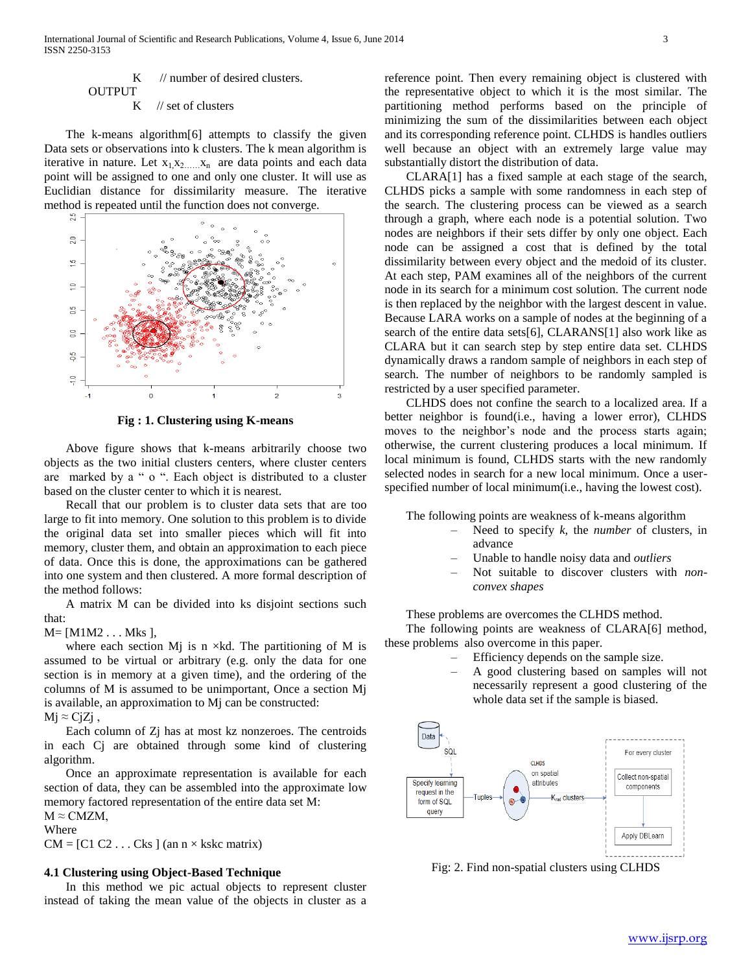# $K$  // number of desired clusters. **OUTPUT** K // set of clusters

 The k-means algorithm[6] attempts to classify the given Data sets or observations into k clusters. The k mean algorithm is iterative in nature. Let  $x_1, x_2, \ldots, x_n$  are data points and each data point will be assigned to one and only one cluster. It will use as Euclidian distance for dissimilarity measure. The iterative method is repeated until the function does not converge.



**Fig : 1. Clustering using K-means**

 Above figure shows that k-means arbitrarily choose two objects as the two initial clusters centers, where cluster centers are marked by a " o ". Each object is distributed to a cluster based on the cluster center to which it is nearest.

 Recall that our problem is to cluster data sets that are too large to fit into memory. One solution to this problem is to divide the original data set into smaller pieces which will fit into memory, cluster them, and obtain an approximation to each piece of data. Once this is done, the approximations can be gathered into one system and then clustered. A more formal description of the method follows:

 A matrix M can be divided into ks disjoint sections such that:

# $M=[M1M2...Mks],$

where each section Mj is n  $\times$ kd. The partitioning of M is assumed to be virtual or arbitrary (e.g. only the data for one section is in memory at a given time), and the ordering of the columns of M is assumed to be unimportant, Once a section Mj is available, an approximation to Mj can be constructed:

 $Mj \approx CjZj$ ,

 Each column of Zj has at most kz nonzeroes. The centroids in each Cj are obtained through some kind of clustering algorithm.

 Once an approximate representation is available for each section of data, they can be assembled into the approximate low memory factored representation of the entire data set M:  $M \approx C M Z M$ ,

# Where

 $CM = [C1 C2 \dots Cks]$  (an  $n \times kskc$  matrix)

# **4.1 Clustering using Object-Based Technique**

 In this method we pic actual objects to represent cluster instead of taking the mean value of the objects in cluster as a reference point. Then every remaining object is clustered with the representative object to which it is the most similar. The partitioning method performs based on the principle of minimizing the sum of the dissimilarities between each object and its corresponding reference point. CLHDS is handles outliers well because an object with an extremely large value may substantially distort the distribution of data.

 CLARA[1] has a fixed sample at each stage of the search, CLHDS picks a sample with some randomness in each step of the search. The clustering process can be viewed as a search through a graph, where each node is a potential solution. Two nodes are neighbors if their sets differ by only one object. Each node can be assigned a cost that is defined by the total dissimilarity between every object and the medoid of its cluster. At each step, PAM examines all of the neighbors of the current node in its search for a minimum cost solution. The current node is then replaced by the neighbor with the largest descent in value. Because LARA works on a sample of nodes at the beginning of a search of the entire data sets[6], CLARANS[1] also work like as CLARA but it can search step by step entire data set. CLHDS dynamically draws a random sample of neighbors in each step of search. The number of neighbors to be randomly sampled is restricted by a user specified parameter.

 CLHDS does not confine the search to a localized area. If a better neighbor is found(i.e., having a lower error), CLHDS moves to the neighbor's node and the process starts again; otherwise, the current clustering produces a local minimum. If local minimum is found, CLHDS starts with the new randomly selected nodes in search for a new local minimum. Once a userspecified number of local minimum(i.e., having the lowest cost).

The following points are weakness of k-means algorithm

- Need to specify *k,* the *number* of clusters, in advance
- Unable to handle noisy data and *outliers*
- Not suitable to discover clusters with *nonconvex shapes*

These problems are overcomes the CLHDS method.

 The following points are weakness of CLARA[6] method, these problems also overcome in this paper.

- Efficiency depends on the sample size.
- A good clustering based on samples will not necessarily represent a good clustering of the whole data set if the sample is biased.



Fig: 2. Find non-spatial clusters using CLHDS